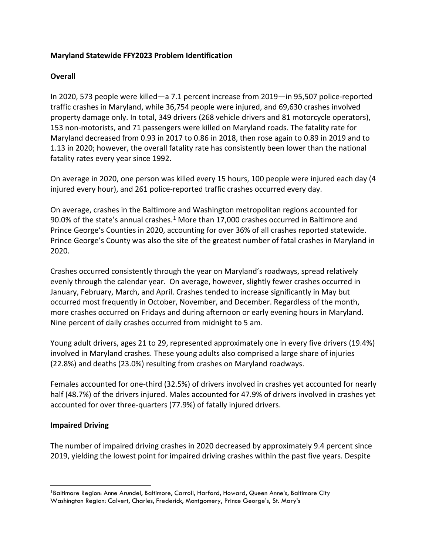### **Maryland Statewide FFY2023 Problem Identification**

#### **Overall**

In 2020, 573 people were killed—a 7.1 percent increase from 2019—in 95,507 police-reported traffic crashes in Maryland, while 36,754 people were injured, and 69,630 crashes involved property damage only. In total, 349 drivers (268 vehicle drivers and 81 motorcycle operators), 153 non-motorists, and 71 passengers were killed on Maryland roads. The fatality rate for Maryland decreased from 0.93 in 2017 to 0.86 in 2018, then rose again to 0.89 in 2019 and to 1.13 in 2020; however, the overall fatality rate has consistently been lower than the national fatality rates every year since 1992.

On average in 2020, one person was killed every 15 hours, 100 people were injured each day (4 injured every hour), and 261 police-reported traffic crashes occurred every day.

On average, crashes in the Baltimore and Washington metropolitan regions accounted for 90.0% of the state's annual crashes. $1$  More than 17,000 crashes occurred in Baltimore and Prince George's Counties in 2020, accounting for over 36% of all crashes reported statewide. Prince George's County was also the site of the greatest number of fatal crashes in Maryland in 2020.

Crashes occurred consistently through the year on Maryland's roadways, spread relatively evenly through the calendar year. On average, however, slightly fewer crashes occurred in January, February, March, and April. Crashes tended to increase significantly in May but occurred most frequently in October, November, and December. Regardless of the month, more crashes occurred on Fridays and during afternoon or early evening hours in Maryland. Nine percent of daily crashes occurred from midnight to 5 am.

Young adult drivers, ages 21 to 29, represented approximately one in every five drivers (19.4%) involved in Maryland crashes. These young adults also comprised a large share of injuries (22.8%) and deaths (23.0%) resulting from crashes on Maryland roadways.

Females accounted for one-third (32.5%) of drivers involved in crashes yet accounted for nearly half (48.7%) of the drivers injured. Males accounted for 47.9% of drivers involved in crashes yet accounted for over three-quarters (77.9%) of fatally injured drivers.

## **Impaired Driving**

The number of impaired driving crashes in 2020 decreased by approximately 9.4 percent since 2019, yielding the lowest point for impaired driving crashes within the past five years. Despite

<span id="page-0-0"></span><sup>1</sup>Baltimore Region: Anne Arundel, Baltimore, Carroll, Harford, Howard, Queen Anne's, Baltimore City Washington Region: Calvert, Charles, Frederick, Montgomery, Prince George's, St. Mary's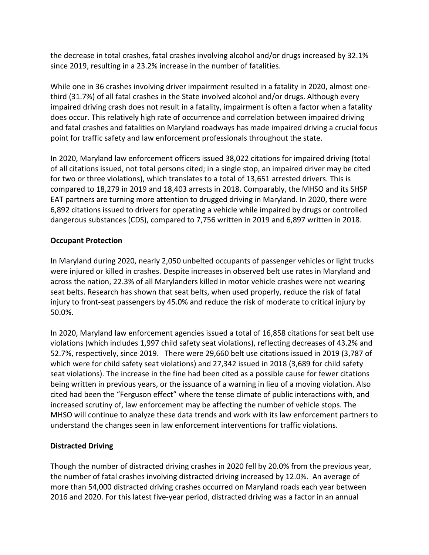the decrease in total crashes, fatal crashes involving alcohol and/or drugs increased by 32.1% since 2019, resulting in a 23.2% increase in the number of fatalities.

While one in 36 crashes involving driver impairment resulted in a fatality in 2020, almost onethird (31.7%) of all fatal crashes in the State involved alcohol and/or drugs. Although every impaired driving crash does not result in a fatality, impairment is often a factor when a fatality does occur. This relatively high rate of occurrence and correlation between impaired driving and fatal crashes and fatalities on Maryland roadways has made impaired driving a crucial focus point for traffic safety and law enforcement professionals throughout the state.

In 2020, Maryland law enforcement officers issued 38,022 citations for impaired driving (total of all citations issued, not total persons cited; in a single stop, an impaired driver may be cited for two or three violations), which translates to a total of 13,651 arrested drivers. This is compared to 18,279 in 2019 and 18,403 arrests in 2018. Comparably, the MHSO and its SHSP EAT partners are turning more attention to drugged driving in Maryland. In 2020, there were 6,892 citations issued to drivers for operating a vehicle while impaired by drugs or controlled dangerous substances (CDS), compared to 7,756 written in 2019 and 6,897 written in 2018.

# **Occupant Protection**

In Maryland during 2020, nearly 2,050 unbelted occupants of passenger vehicles or light trucks were injured or killed in crashes. Despite increases in observed belt use rates in Maryland and across the nation, 22.3% of all Marylanders killed in motor vehicle crashes were not wearing seat belts. Research has shown that seat belts, when used properly, reduce the risk of fatal injury to front-seat passengers by 45.0% and reduce the risk of moderate to critical injury by 50.0%.

In 2020, Maryland law enforcement agencies issued a total of 16,858 citations for seat belt use violations (which includes 1,997 child safety seat violations), reflecting decreases of 43.2% and 52.7%, respectively, since 2019. There were 29,660 belt use citations issued in 2019 (3,787 of which were for child safety seat violations) and 27,342 issued in 2018 (3,689 for child safety seat violations). The increase in the fine had been cited as a possible cause for fewer citations being written in previous years, or the issuance of a warning in lieu of a moving violation. Also cited had been the "Ferguson effect" where the tense climate of public interactions with, and increased scrutiny of, law enforcement may be affecting the number of vehicle stops. The MHSO will continue to analyze these data trends and work with its law enforcement partners to understand the changes seen in law enforcement interventions for traffic violations.

## **Distracted Driving**

Though the number of distracted driving crashes in 2020 fell by 20.0% from the previous year, the number of fatal crashes involving distracted driving increased by 12.0%. An average of more than 54,000 distracted driving crashes occurred on Maryland roads each year between 2016 and 2020. For this latest five-year period, distracted driving was a factor in an annual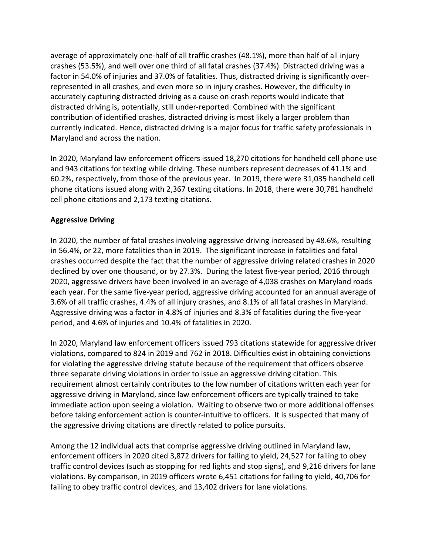average of approximately one-half of all traffic crashes (48.1%), more than half of all injury crashes (53.5%), and well over one third of all fatal crashes (37.4%). Distracted driving was a factor in 54.0% of injuries and 37.0% of fatalities. Thus, distracted driving is significantly overrepresented in all crashes, and even more so in injury crashes. However, the difficulty in accurately capturing distracted driving as a cause on crash reports would indicate that distracted driving is, potentially, still under-reported. Combined with the significant contribution of identified crashes, distracted driving is most likely a larger problem than currently indicated. Hence, distracted driving is a major focus for traffic safety professionals in Maryland and across the nation.

In 2020, Maryland law enforcement officers issued 18,270 citations for handheld cell phone use and 943 citations for texting while driving. These numbers represent decreases of 41.1% and 60.2%, respectively, from those of the previous year. In 2019, there were 31,035 handheld cell phone citations issued along with 2,367 texting citations. In 2018, there were 30,781 handheld cell phone citations and 2,173 texting citations.

# **Aggressive Driving**

In 2020, the number of fatal crashes involving aggressive driving increased by 48.6%, resulting in 56.4%, or 22, more fatalities than in 2019. The significant increase in fatalities and fatal crashes occurred despite the fact that the number of aggressive driving related crashes in 2020 declined by over one thousand, or by 27.3%. During the latest five-year period, 2016 through 2020, aggressive drivers have been involved in an average of 4,038 crashes on Maryland roads each year. For the same five-year period, aggressive driving accounted for an annual average of 3.6% of all traffic crashes, 4.4% of all injury crashes, and 8.1% of all fatal crashes in Maryland. Aggressive driving was a factor in 4.8% of injuries and 8.3% of fatalities during the five-year period, and 4.6% of injuries and 10.4% of fatalities in 2020.

In 2020, Maryland law enforcement officers issued 793 citations statewide for aggressive driver violations, compared to 824 in 2019 and 762 in 2018. Difficulties exist in obtaining convictions for violating the aggressive driving statute because of the requirement that officers observe three separate driving violations in order to issue an aggressive driving citation. This requirement almost certainly contributes to the low number of citations written each year for aggressive driving in Maryland, since law enforcement officers are typically trained to take immediate action upon seeing a violation. Waiting to observe two or more additional offenses before taking enforcement action is counter-intuitive to officers. It is suspected that many of the aggressive driving citations are directly related to police pursuits.

Among the 12 individual acts that comprise aggressive driving outlined in Maryland law, enforcement officers in 2020 cited 3,872 drivers for failing to yield, 24,527 for failing to obey traffic control devices (such as stopping for red lights and stop signs), and 9,216 drivers for lane violations. By comparison, in 2019 officers wrote 6,451 citations for failing to yield, 40,706 for failing to obey traffic control devices, and 13,402 drivers for lane violations.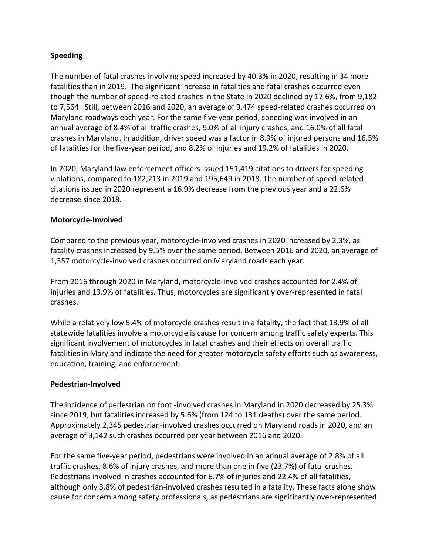### **Speeding**

The number of fatal crashes involving speed increased by 40.3% in 2020, resulting in 34 more fatalities than in 2019. The significant increase in fatalities and fatal crashes occurred even though the number of speed-related crashes in the State in 2020 declined by 17.6%, from 9,182 to 7,564. Still, between 2016 and 2020, an average of 9,474 speed-related crashes occurred on Maryland roadways each year. For the same five-year period, speeding was involved in an annual average of 8.4% of all traffic crashes, 9.0% of all injury crashes, and 16.0% of all fatal crashes in Maryland. In addition, driver speed was a factor in 8.9% of injured persons and 16.5% of fatalities for the five-year period, and 8.2% of injuries and 19.2% of fatalities in 2020.

In 2020, Maryland law enforcement officers issued 151,419 citations to drivers for speeding violations, compared to 182,213 in 2019 and 195,649 in 2018. The number of speed-related citations issued in 2020 represent a 16.9% decrease from the previous year and a 22.6% decrease since 2018.

### **Motorcycle-Involved**

Compared to the previous year, motorcycle-involved crashes in 2020 increased by 2.3%, as fatality crashes increased by 9.5% over the same period. Between 2016 and 2020, an average of 1,357 motorcycle-involved crashes occurred on Maryland roads each year.

From 2016 through 2020 in Maryland, motorcycle-involved crashes accounted for 2.4% of injuries and 13.9% of fatalities. Thus, motorcycles are significantly over-represented in fatal crashes.

While a relatively low 5.4% of motorcycle crashes result in a fatality, the fact that 13.9% of all statewide fatalities involve a motorcycle is cause for concern among traffic safety experts. This significant involvement of motorcycles in fatal crashes and their effects on overall traffic fatalities in Maryland indicate the need for greater motorcycle safety efforts such as awareness, education, training, and enforcement.

#### **Pedestrian-Involved**

The incidence of pedestrian on foot -involved crashes in Maryland in 2020 decreased by 25.3% since 2019, but fatalities increased by 5.6% (from 124 to 131 deaths) over the same period. Approximately 2,345 pedestrian-involved crashes occurred on Maryland roads in 2020, and an average of 3,142 such crashes occurred per year between 2016 and 2020.

For the same five-year period, pedestrians were involved in an annual average of 2.8% of all traffic crashes, 8.6% of injury crashes, and more than one in five (23.7%) of fatal crashes. Pedestrians involved in crashes accounted for 6.7% of injuries and 22.4% of all fatalities, although only 3.8% of pedestrian-involved crashes resulted in a fatality. These facts alone show cause for concern among safety professionals, as pedestrians are significantly over-represented